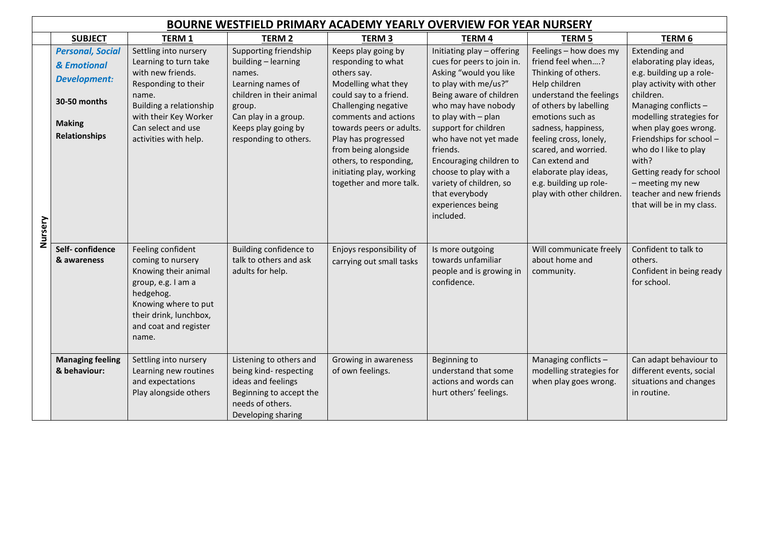|         | <b>BOURNE WESTFIELD PRIMARY ACADEMY YEARLY OVERVIEW FOR YEAR NURSERY</b>                                               |                                                                                                                                                                                                        |                                                                                                                                                                                           |                                                                                                                                                                                                                                                                                                                       |                                                                                                                                                                                                                                                                                                                                                                                     |                                                                                                                                                                                                                                                                                                                                         |                                                                                                                                                                                                                                                                                                                                                                         |  |
|---------|------------------------------------------------------------------------------------------------------------------------|--------------------------------------------------------------------------------------------------------------------------------------------------------------------------------------------------------|-------------------------------------------------------------------------------------------------------------------------------------------------------------------------------------------|-----------------------------------------------------------------------------------------------------------------------------------------------------------------------------------------------------------------------------------------------------------------------------------------------------------------------|-------------------------------------------------------------------------------------------------------------------------------------------------------------------------------------------------------------------------------------------------------------------------------------------------------------------------------------------------------------------------------------|-----------------------------------------------------------------------------------------------------------------------------------------------------------------------------------------------------------------------------------------------------------------------------------------------------------------------------------------|-------------------------------------------------------------------------------------------------------------------------------------------------------------------------------------------------------------------------------------------------------------------------------------------------------------------------------------------------------------------------|--|
|         | <b>SUBJECT</b>                                                                                                         | <b>TERM1</b>                                                                                                                                                                                           | <b>TERM 2</b>                                                                                                                                                                             | <b>TERM3</b>                                                                                                                                                                                                                                                                                                          | <b>TERM4</b>                                                                                                                                                                                                                                                                                                                                                                        | <b>TERM 5</b>                                                                                                                                                                                                                                                                                                                           | TERM 6                                                                                                                                                                                                                                                                                                                                                                  |  |
|         | <b>Personal, Social</b><br>& Emotional<br><b>Development:</b><br>30-50 months<br><b>Making</b><br><b>Relationships</b> | Settling into nursery<br>Learning to turn take<br>with new friends.<br>Responding to their<br>name.<br>Building a relationship<br>with their Key Worker<br>Can select and use<br>activities with help. | Supporting friendship<br>building - learning<br>names.<br>Learning names of<br>children in their animal<br>group.<br>Can play in a group.<br>Keeps play going by<br>responding to others. | Keeps play going by<br>responding to what<br>others say.<br>Modelling what they<br>could say to a friend.<br>Challenging negative<br>comments and actions<br>towards peers or adults.<br>Play has progressed<br>from being alongside<br>others, to responding,<br>initiating play, working<br>together and more talk. | Initiating play - offering<br>cues for peers to join in.<br>Asking "would you like<br>to play with me/us?"<br>Being aware of children<br>who may have nobody<br>to play with - plan<br>support for children<br>who have not yet made<br>friends.<br>Encouraging children to<br>choose to play with a<br>variety of children, so<br>that everybody<br>experiences being<br>included. | Feelings - how does my<br>friend feel when?<br>Thinking of others.<br>Help children<br>understand the feelings<br>of others by labelling<br>emotions such as<br>sadness, happiness,<br>feeling cross, lonely,<br>scared, and worried.<br>Can extend and<br>elaborate play ideas,<br>e.g. building up role-<br>play with other children. | <b>Extending and</b><br>elaborating play ideas,<br>e.g. building up a role-<br>play activity with other<br>children.<br>Managing conflicts -<br>modelling strategies for<br>when play goes wrong.<br>Friendships for school -<br>who do I like to play<br>with?<br>Getting ready for school<br>- meeting my new<br>teacher and new friends<br>that will be in my class. |  |
| Nursery | Self-confidence<br>& awareness                                                                                         | Feeling confident<br>coming to nursery<br>Knowing their animal<br>group, e.g. I am a<br>hedgehog.<br>Knowing where to put<br>their drink, lunchbox,<br>and coat and register<br>name.                  | Building confidence to<br>talk to others and ask<br>adults for help.                                                                                                                      | Enjoys responsibility of<br>carrying out small tasks                                                                                                                                                                                                                                                                  | Is more outgoing<br>towards unfamiliar<br>people and is growing in<br>confidence.                                                                                                                                                                                                                                                                                                   | Will communicate freely<br>about home and<br>community.                                                                                                                                                                                                                                                                                 | Confident to talk to<br>others.<br>Confident in being ready<br>for school.                                                                                                                                                                                                                                                                                              |  |
|         | <b>Managing feeling</b><br>& behaviour:                                                                                | Settling into nursery<br>Learning new routines<br>and expectations<br>Play alongside others                                                                                                            | Listening to others and<br>being kind-respecting<br>ideas and feelings<br>Beginning to accept the<br>needs of others.<br>Developing sharing                                               | Growing in awareness<br>of own feelings.                                                                                                                                                                                                                                                                              | Beginning to<br>understand that some<br>actions and words can<br>hurt others' feelings.                                                                                                                                                                                                                                                                                             | Managing conflicts -<br>modelling strategies for<br>when play goes wrong.                                                                                                                                                                                                                                                               | Can adapt behaviour to<br>different events, social<br>situations and changes<br>in routine.                                                                                                                                                                                                                                                                             |  |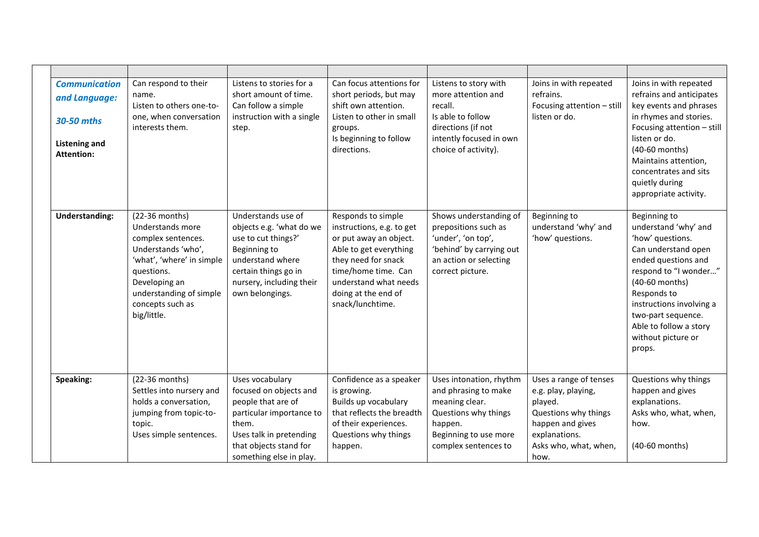|  | <b>Communication</b><br>and Language:<br>30-50 mths<br><b>Listening and</b><br><b>Attention:</b> | Can respond to their<br>name.<br>Listen to others one-to-<br>one, when conversation<br>interests them.                                                                                                   | Listens to stories for a<br>short amount of time.<br>Can follow a simple<br>instruction with a single<br>step.                                                                       | Can focus attentions for<br>short periods, but may<br>shift own attention.<br>Listen to other in small<br>groups.<br>Is beginning to follow<br>directions.                                                            | Listens to story with<br>more attention and<br>recall.<br>Is able to follow<br>directions (if not<br>intently focused in own<br>choice of activity).  | Joins in with repeated<br>refrains.<br>Focusing attention - still<br>listen or do.                                                                     | Joins in with repeated<br>refrains and anticipates<br>key events and phrases<br>in rhymes and stories.<br>Focusing attention - still<br>listen or do.<br>(40-60 months)<br>Maintains attention,<br>concentrates and sits<br>quietly during<br>appropriate activity.          |
|--|--------------------------------------------------------------------------------------------------|----------------------------------------------------------------------------------------------------------------------------------------------------------------------------------------------------------|--------------------------------------------------------------------------------------------------------------------------------------------------------------------------------------|-----------------------------------------------------------------------------------------------------------------------------------------------------------------------------------------------------------------------|-------------------------------------------------------------------------------------------------------------------------------------------------------|--------------------------------------------------------------------------------------------------------------------------------------------------------|------------------------------------------------------------------------------------------------------------------------------------------------------------------------------------------------------------------------------------------------------------------------------|
|  | <b>Understanding:</b>                                                                            | (22-36 months)<br>Understands more<br>complex sentences.<br>Understands 'who',<br>'what', 'where' in simple<br>questions.<br>Developing an<br>understanding of simple<br>concepts such as<br>big/little. | Understands use of<br>objects e.g. 'what do we<br>use to cut things?'<br>Beginning to<br>understand where<br>certain things go in<br>nursery, including their<br>own belongings.     | Responds to simple<br>instructions, e.g. to get<br>or put away an object.<br>Able to get everything<br>they need for snack<br>time/home time. Can<br>understand what needs<br>doing at the end of<br>snack/lunchtime. | Shows understanding of<br>prepositions such as<br>'under', 'on top',<br>'behind' by carrying out<br>an action or selecting<br>correct picture.        | Beginning to<br>understand 'why' and<br>'how' questions.                                                                                               | Beginning to<br>understand 'why' and<br>'how' questions.<br>Can understand open<br>ended questions and<br>respond to "I wonder"<br>(40-60 months)<br>Responds to<br>instructions involving a<br>two-part sequence.<br>Able to follow a story<br>without picture or<br>props. |
|  | Speaking:                                                                                        | (22-36 months)<br>Settles into nursery and<br>holds a conversation,<br>jumping from topic-to-<br>topic.<br>Uses simple sentences.                                                                        | Uses vocabulary<br>focused on objects and<br>people that are of<br>particular importance to<br>them.<br>Uses talk in pretending<br>that objects stand for<br>something else in play. | Confidence as a speaker<br>is growing.<br>Builds up vocabulary<br>that reflects the breadth<br>of their experiences.<br>Questions why things<br>happen.                                                               | Uses intonation, rhythm<br>and phrasing to make<br>meaning clear.<br>Questions why things<br>happen.<br>Beginning to use more<br>complex sentences to | Uses a range of tenses<br>e.g. play, playing,<br>played.<br>Questions why things<br>happen and gives<br>explanations.<br>Asks who, what, when,<br>how. | Questions why things<br>happen and gives<br>explanations.<br>Asks who, what, when,<br>how.<br>(40-60 months)                                                                                                                                                                 |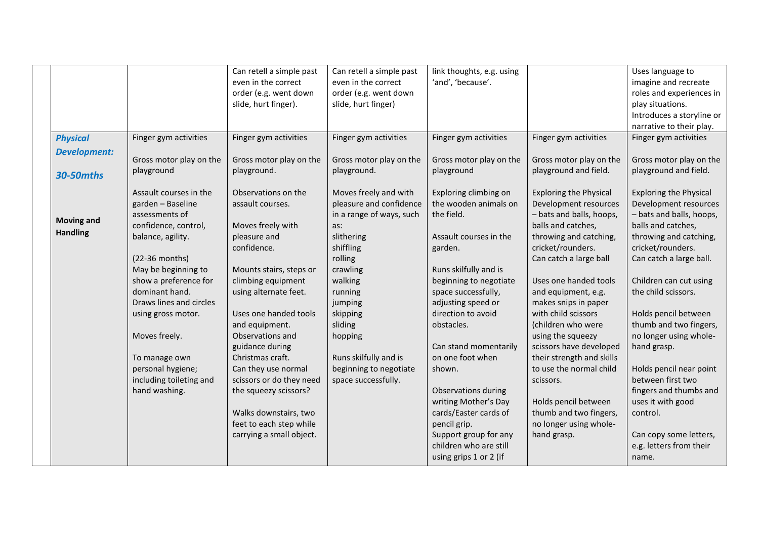|                     |                         | Can retell a simple past | Can retell a simple past | link thoughts, e.g. using |                               | Uses language to              |
|---------------------|-------------------------|--------------------------|--------------------------|---------------------------|-------------------------------|-------------------------------|
|                     |                         | even in the correct      | even in the correct      | 'and', 'because'.         |                               | imagine and recreate          |
|                     |                         | order (e.g. went down    | order (e.g. went down    |                           |                               | roles and experiences in      |
|                     |                         | slide, hurt finger).     | slide, hurt finger)      |                           |                               | play situations.              |
|                     |                         |                          |                          |                           |                               | Introduces a storyline or     |
|                     |                         |                          |                          |                           |                               | narrative to their play.      |
| <b>Physical</b>     | Finger gym activities   | Finger gym activities    | Finger gym activities    | Finger gym activities     | Finger gym activities         | Finger gym activities         |
| <b>Development:</b> |                         |                          |                          |                           |                               |                               |
|                     | Gross motor play on the | Gross motor play on the  | Gross motor play on the  | Gross motor play on the   | Gross motor play on the       | Gross motor play on the       |
| <b>30-50mths</b>    | playground              | playground.              | playground.              | playground                | playground and field.         | playground and field.         |
|                     |                         |                          |                          |                           |                               |                               |
|                     | Assault courses in the  | Observations on the      | Moves freely and with    | Exploring climbing on     | <b>Exploring the Physical</b> | <b>Exploring the Physical</b> |
|                     | garden - Baseline       | assault courses.         | pleasure and confidence  | the wooden animals on     | Development resources         | Development resources         |
| <b>Moving and</b>   | assessments of          |                          | in a range of ways, such | the field.                | - bats and balls, hoops,      | - bats and balls, hoops,      |
|                     | confidence, control,    | Moves freely with        | as:                      |                           | balls and catches,            | balls and catches,            |
| <b>Handling</b>     | balance, agility.       | pleasure and             | slithering               | Assault courses in the    | throwing and catching,        | throwing and catching,        |
|                     |                         | confidence.              | shiffling                | garden.                   | cricket/rounders.             | cricket/rounders.             |
|                     | (22-36 months)          |                          | rolling                  |                           | Can catch a large ball        | Can catch a large ball.       |
|                     | May be beginning to     | Mounts stairs, steps or  | crawling                 | Runs skilfully and is     |                               |                               |
|                     | show a preference for   | climbing equipment       | walking                  | beginning to negotiate    | Uses one handed tools         | Children can cut using        |
|                     | dominant hand.          | using alternate feet.    | running                  | space successfully,       | and equipment, e.g.           | the child scissors.           |
|                     | Draws lines and circles |                          | jumping                  | adjusting speed or        | makes snips in paper          |                               |
|                     | using gross motor.      | Uses one handed tools    | skipping                 | direction to avoid        | with child scissors           | Holds pencil between          |
|                     |                         | and equipment.           | sliding                  | obstacles.                | (children who were            | thumb and two fingers,        |
|                     | Moves freely.           | Observations and         | hopping                  |                           | using the squeezy             | no longer using whole-        |
|                     |                         | guidance during          |                          | Can stand momentarily     | scissors have developed       | hand grasp.                   |
|                     | To manage own           | Christmas craft.         | Runs skilfully and is    | on one foot when          | their strength and skills     |                               |
|                     | personal hygiene;       | Can they use normal      | beginning to negotiate   | shown.                    | to use the normal child       | Holds pencil near point       |
|                     | including toileting and | scissors or do they need | space successfully.      |                           | scissors.                     | between first two             |
|                     | hand washing.           | the squeezy scissors?    |                          | Observations during       |                               | fingers and thumbs and        |
|                     |                         |                          |                          | writing Mother's Day      | Holds pencil between          | uses it with good             |
|                     |                         | Walks downstairs, two    |                          | cards/Easter cards of     | thumb and two fingers,        | control.                      |
|                     |                         | feet to each step while  |                          | pencil grip.              | no longer using whole-        |                               |
|                     |                         | carrying a small object. |                          | Support group for any     | hand grasp.                   | Can copy some letters,        |
|                     |                         |                          |                          | children who are still    |                               | e.g. letters from their       |
|                     |                         |                          |                          | using grips 1 or 2 (if    |                               | name.                         |
|                     |                         |                          |                          |                           |                               |                               |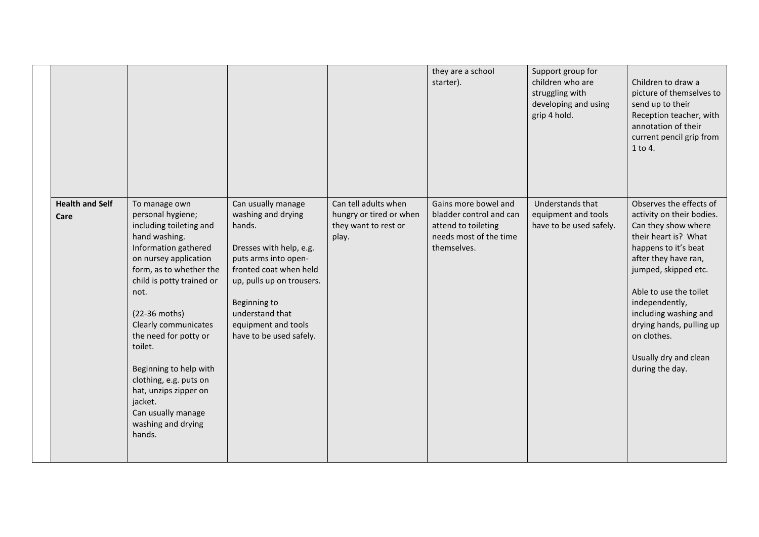|                                |                                                                                                                                                                                                                                                                                                                                                                                                                            |                                                                                                                                                                                                                                                   |                                                                                  | they are a school<br>starter).                                                                                  | Support group for<br>children who are<br>struggling with<br>developing and using<br>grip 4 hold. | Children to draw a<br>picture of themselves to<br>send up to their<br>Reception teacher, with<br>annotation of their<br>current pencil grip from<br>1 to 4.                                                                                                                                                                             |
|--------------------------------|----------------------------------------------------------------------------------------------------------------------------------------------------------------------------------------------------------------------------------------------------------------------------------------------------------------------------------------------------------------------------------------------------------------------------|---------------------------------------------------------------------------------------------------------------------------------------------------------------------------------------------------------------------------------------------------|----------------------------------------------------------------------------------|-----------------------------------------------------------------------------------------------------------------|--------------------------------------------------------------------------------------------------|-----------------------------------------------------------------------------------------------------------------------------------------------------------------------------------------------------------------------------------------------------------------------------------------------------------------------------------------|
| <b>Health and Self</b><br>Care | To manage own<br>personal hygiene;<br>including toileting and<br>hand washing.<br>Information gathered<br>on nursey application<br>form, as to whether the<br>child is potty trained or<br>not.<br>(22-36 moths)<br>Clearly communicates<br>the need for potty or<br>toilet.<br>Beginning to help with<br>clothing, e.g. puts on<br>hat, unzips zipper on<br>jacket.<br>Can usually manage<br>washing and drying<br>hands. | Can usually manage<br>washing and drying<br>hands.<br>Dresses with help, e.g.<br>puts arms into open-<br>fronted coat when held<br>up, pulls up on trousers.<br>Beginning to<br>understand that<br>equipment and tools<br>have to be used safely. | Can tell adults when<br>hungry or tired or when<br>they want to rest or<br>play. | Gains more bowel and<br>bladder control and can<br>attend to toileting<br>needs most of the time<br>themselves. | Understands that<br>equipment and tools<br>have to be used safely.                               | Observes the effects of<br>activity on their bodies.<br>Can they show where<br>their heart is? What<br>happens to it's beat<br>after they have ran,<br>jumped, skipped etc.<br>Able to use the toilet<br>independently,<br>including washing and<br>drying hands, pulling up<br>on clothes.<br>Usually dry and clean<br>during the day. |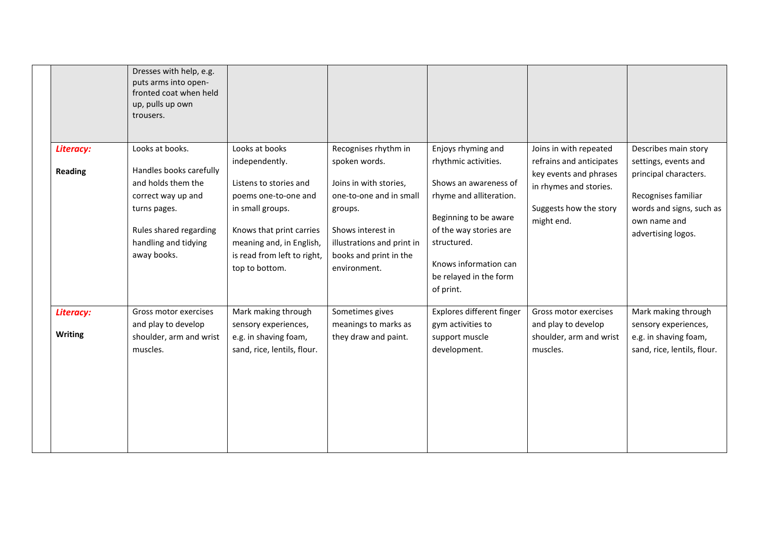| Dresses with help, e.g.<br>puts arms into open-<br>fronted coat when held<br>up, pulls up own<br>trousers.                                           |                                                                                                                                                                                               |                                                                                                                                                                            |                                                                                                                                                                                                            |                                                                                                                      |                                                                                                                                        |
|------------------------------------------------------------------------------------------------------------------------------------------------------|-----------------------------------------------------------------------------------------------------------------------------------------------------------------------------------------------|----------------------------------------------------------------------------------------------------------------------------------------------------------------------------|------------------------------------------------------------------------------------------------------------------------------------------------------------------------------------------------------------|----------------------------------------------------------------------------------------------------------------------|----------------------------------------------------------------------------------------------------------------------------------------|
| Looks at books.                                                                                                                                      | Looks at books                                                                                                                                                                                | Recognises rhythm in                                                                                                                                                       | Enjoys rhyming and                                                                                                                                                                                         | Joins in with repeated                                                                                               | Describes main story                                                                                                                   |
| Handles books carefully<br>and holds them the<br>correct way up and<br>turns pages.<br>Rules shared regarding<br>handling and tidying<br>away books. | independently.<br>Listens to stories and<br>poems one-to-one and<br>in small groups.<br>Knows that print carries<br>meaning and, in English,<br>is read from left to right,<br>top to bottom. | spoken words.<br>Joins in with stories,<br>one-to-one and in small<br>groups.<br>Shows interest in<br>illustrations and print in<br>books and print in the<br>environment. | rhythmic activities.<br>Shows an awareness of<br>rhyme and alliteration.<br>Beginning to be aware<br>of the way stories are<br>structured.<br>Knows information can<br>be relayed in the form<br>of print. | refrains and anticipates<br>key events and phrases<br>in rhymes and stories.<br>Suggests how the story<br>might end. | settings, events and<br>principal characters.<br>Recognises familiar<br>words and signs, such as<br>own name and<br>advertising logos. |
| Gross motor exercises                                                                                                                                | Mark making through                                                                                                                                                                           | Sometimes gives                                                                                                                                                            | Explores different finger                                                                                                                                                                                  | Gross motor exercises                                                                                                | Mark making through                                                                                                                    |
| shoulder, arm and wrist<br>muscles.                                                                                                                  | e.g. in shaving foam,<br>sand, rice, lentils, flour.                                                                                                                                          | they draw and paint.                                                                                                                                                       | support muscle<br>development.                                                                                                                                                                             | shoulder, arm and wrist<br>muscles.                                                                                  | sensory experiences,<br>e.g. in shaving foam,<br>sand, rice, lentils, flour.                                                           |
|                                                                                                                                                      | and play to develop                                                                                                                                                                           | sensory experiences,                                                                                                                                                       | meanings to marks as                                                                                                                                                                                       | gym activities to                                                                                                    | and play to develop                                                                                                                    |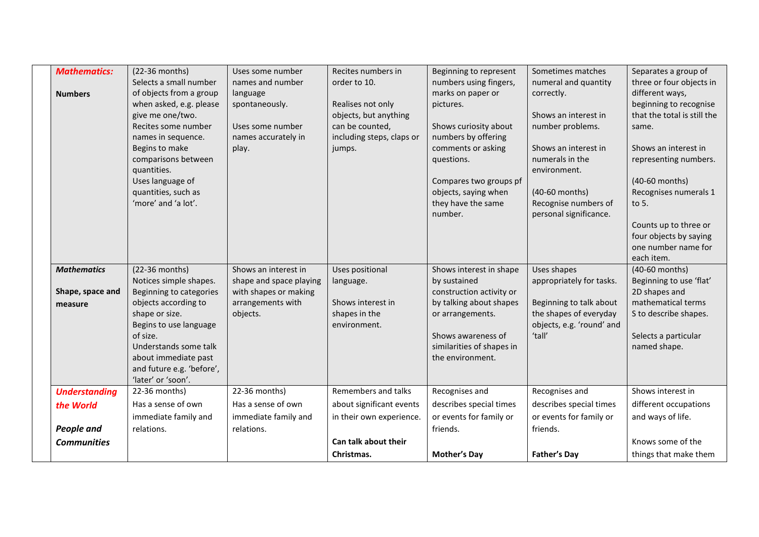| <b>Mathematics:</b>  | (22-36 months)            | Uses some number        | Recites numbers in        | Beginning to represent    | Sometimes matches         | Separates a group of        |
|----------------------|---------------------------|-------------------------|---------------------------|---------------------------|---------------------------|-----------------------------|
|                      | Selects a small number    | names and number        | order to 10.              | numbers using fingers,    | numeral and quantity      | three or four objects in    |
| <b>Numbers</b>       | of objects from a group   | language                |                           | marks on paper or         | correctly.                | different ways,             |
|                      | when asked, e.g. please   | spontaneously.          | Realises not only         | pictures.                 |                           | beginning to recognise      |
|                      | give me one/two.          |                         | objects, but anything     |                           | Shows an interest in      | that the total is still the |
|                      | Recites some number       | Uses some number        | can be counted,           | Shows curiosity about     | number problems.          | same.                       |
|                      | names in sequence.        | names accurately in     | including steps, claps or | numbers by offering       |                           |                             |
|                      | Begins to make            | play.                   | jumps.                    | comments or asking        | Shows an interest in      | Shows an interest in        |
|                      | comparisons between       |                         |                           | questions.                | numerals in the           | representing numbers.       |
|                      | quantities.               |                         |                           |                           | environment.              |                             |
|                      | Uses language of          |                         |                           | Compares two groups pf    |                           | (40-60 months)              |
|                      | quantities, such as       |                         |                           | objects, saying when      | (40-60 months)            | Recognises numerals 1       |
|                      | 'more' and 'a lot'.       |                         |                           | they have the same        | Recognise numbers of      | to 5.                       |
|                      |                           |                         |                           | number.                   | personal significance.    |                             |
|                      |                           |                         |                           |                           |                           | Counts up to three or       |
|                      |                           |                         |                           |                           |                           | four objects by saying      |
|                      |                           |                         |                           |                           |                           | one number name for         |
|                      |                           |                         |                           |                           |                           | each item.                  |
| <b>Mathematics</b>   | (22-36 months)            | Shows an interest in    | Uses positional           | Shows interest in shape   | Uses shapes               | (40-60 months)              |
|                      | Notices simple shapes.    | shape and space playing | language.                 | by sustained              | appropriately for tasks.  | Beginning to use 'flat'     |
| Shape, space and     | Beginning to categories   | with shapes or making   |                           | construction activity or  |                           | 2D shapes and               |
| measure              | objects according to      | arrangements with       | Shows interest in         | by talking about shapes   | Beginning to talk about   | mathematical terms          |
|                      | shape or size.            | objects.                | shapes in the             | or arrangements.          | the shapes of everyday    | S to describe shapes.       |
|                      | Begins to use language    |                         | environment.              |                           | objects, e.g. 'round' and |                             |
|                      | of size.                  |                         |                           | Shows awareness of        | 'tall'                    | Selects a particular        |
|                      | Understands some talk     |                         |                           | similarities of shapes in |                           | named shape.                |
|                      | about immediate past      |                         |                           | the environment.          |                           |                             |
|                      | and future e.g. 'before', |                         |                           |                           |                           |                             |
|                      | 'later' or 'soon'.        |                         |                           |                           |                           |                             |
| <b>Understanding</b> | 22-36 months)             | 22-36 months)           | Remembers and talks       | Recognises and            | Recognises and            | Shows interest in           |
| the World            | Has a sense of own        | Has a sense of own      | about significant events  | describes special times   | describes special times   | different occupations       |
|                      | immediate family and      | immediate family and    | in their own experience.  | or events for family or   | or events for family or   | and ways of life.           |
| <b>People and</b>    | relations.                | relations.              |                           | friends.                  | friends.                  |                             |
| <b>Communities</b>   |                           |                         | Can talk about their      |                           |                           | Knows some of the           |
|                      |                           |                         | Christmas.                | <b>Mother's Day</b>       | <b>Father's Day</b>       | things that make them       |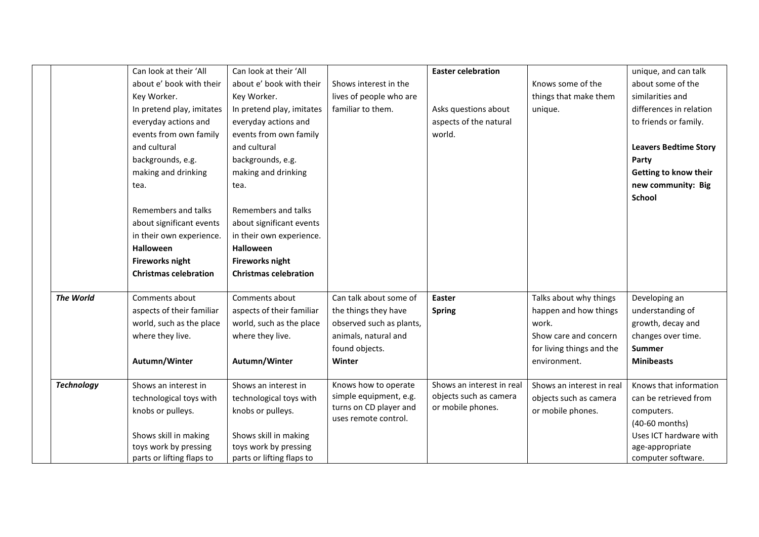|                   | Can look at their 'All       | Can look at their 'All       |                                                  | <b>Easter celebration</b>                   |                           | unique, and can talk         |
|-------------------|------------------------------|------------------------------|--------------------------------------------------|---------------------------------------------|---------------------------|------------------------------|
|                   | about e' book with their     | about e' book with their     | Shows interest in the                            |                                             | Knows some of the         | about some of the            |
|                   | Key Worker.                  | Key Worker.                  | lives of people who are                          |                                             | things that make them     | similarities and             |
|                   | In pretend play, imitates    | In pretend play, imitates    | familiar to them.                                | Asks questions about                        | unique.                   | differences in relation      |
|                   | everyday actions and         | everyday actions and         |                                                  | aspects of the natural                      |                           | to friends or family.        |
|                   | events from own family       | events from own family       |                                                  | world.                                      |                           |                              |
|                   | and cultural                 | and cultural                 |                                                  |                                             |                           | <b>Leavers Bedtime Story</b> |
|                   | backgrounds, e.g.            | backgrounds, e.g.            |                                                  |                                             |                           | Party                        |
|                   | making and drinking          | making and drinking          |                                                  |                                             |                           | Getting to know their        |
|                   | tea.                         | tea.                         |                                                  |                                             |                           | new community: Big           |
|                   |                              |                              |                                                  |                                             |                           | <b>School</b>                |
|                   | Remembers and talks          | Remembers and talks          |                                                  |                                             |                           |                              |
|                   | about significant events     | about significant events     |                                                  |                                             |                           |                              |
|                   | in their own experience.     | in their own experience.     |                                                  |                                             |                           |                              |
|                   | <b>Halloween</b>             | <b>Halloween</b>             |                                                  |                                             |                           |                              |
|                   | <b>Fireworks night</b>       | <b>Fireworks night</b>       |                                                  |                                             |                           |                              |
|                   | <b>Christmas celebration</b> | <b>Christmas celebration</b> |                                                  |                                             |                           |                              |
|                   |                              |                              |                                                  |                                             |                           |                              |
| The World         | Comments about               | Comments about               | Can talk about some of                           | <b>Easter</b>                               | Talks about why things    | Developing an                |
|                   | aspects of their familiar    | aspects of their familiar    | the things they have                             | <b>Spring</b>                               | happen and how things     | understanding of             |
|                   | world, such as the place     | world, such as the place     | observed such as plants,                         |                                             | work.                     | growth, decay and            |
|                   | where they live.             | where they live.             | animals, natural and                             |                                             | Show care and concern     | changes over time.           |
|                   |                              |                              | found objects.                                   |                                             | for living things and the | <b>Summer</b>                |
|                   | Autumn/Winter                | Autumn/Winter                | Winter                                           |                                             | environment.              | <b>Minibeasts</b>            |
|                   |                              |                              |                                                  |                                             |                           |                              |
| <b>Technology</b> | Shows an interest in         | Shows an interest in         | Knows how to operate                             | Shows an interest in real                   | Shows an interest in real | Knows that information       |
|                   | technological toys with      | technological toys with      | simple equipment, e.g.<br>turns on CD player and | objects such as camera<br>or mobile phones. | objects such as camera    | can be retrieved from        |
|                   | knobs or pulleys.            | knobs or pulleys.            | uses remote control.                             |                                             | or mobile phones.         | computers.                   |
|                   |                              |                              |                                                  |                                             |                           | (40-60 months)               |
|                   | Shows skill in making        | Shows skill in making        |                                                  |                                             |                           | Uses ICT hardware with       |
|                   | toys work by pressing        | toys work by pressing        |                                                  |                                             |                           | age-appropriate              |
|                   | parts or lifting flaps to    | parts or lifting flaps to    |                                                  |                                             |                           | computer software.           |